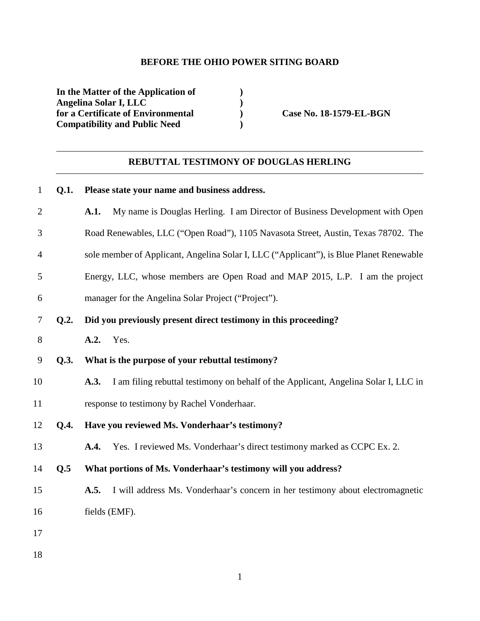## **BEFORE THE OHIO POWER SITING BOARD**

**In the Matter of the Application of ) Angelina Solar I, LLC )**  for a Certificate of Environmental **Case No. 18-1579-EL-BGN Compatibility and Public Need )** 

# **REBUTTAL TESTIMONY OF DOUGLAS HERLING**

## 1 **Q.1. Please state your name and business address.**

| $\mathfrak{2}$ |      | My name is Douglas Herling. I am Director of Business Development with Open<br>A.1.         |
|----------------|------|---------------------------------------------------------------------------------------------|
| 3              |      | Road Renewables, LLC ("Open Road"), 1105 Navasota Street, Austin, Texas 78702. The          |
| 4              |      | sole member of Applicant, Angelina Solar I, LLC ("Applicant"), is Blue Planet Renewable     |
| 5              |      | Energy, LLC, whose members are Open Road and MAP 2015, L.P. I am the project                |
| 6              |      | manager for the Angelina Solar Project ("Project").                                         |
| 7              | Q.2. | Did you previously present direct testimony in this proceeding?                             |
| 8              |      | <b>A.2.</b> Yes.                                                                            |
| 9              | Q.3. | What is the purpose of your rebuttal testimony?                                             |
| 10             |      | I am filing rebuttal testimony on behalf of the Applicant, Angelina Solar I, LLC in<br>A.3. |
| 11             |      | response to testimony by Rachel Vonderhaar.                                                 |
| 12             | Q.4. | Have you reviewed Ms. Vonderhaar's testimony?                                               |
| 13             |      | Yes. I reviewed Ms. Vonderhaar's direct testimony marked as CCPC Ex. 2.<br>A.4.             |
| 14             | Q.5  | What portions of Ms. Vonderhaar's testimony will you address?                               |
| 15             |      | I will address Ms. Vonderhaar's concern in her testimony about electromagnetic<br>A.5.      |
| 16             |      | fields (EMF).                                                                               |
| 17             |      |                                                                                             |
| 18             |      |                                                                                             |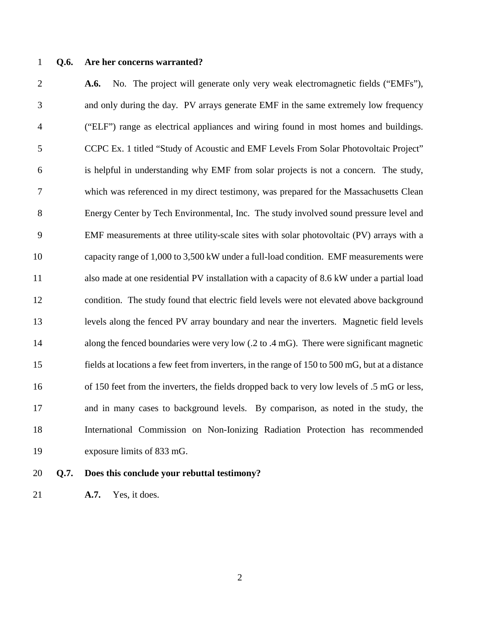#### 1 **Q.6. Are her concerns warranted?**

2 **A.6.** No. The project will generate only very weak electromagnetic fields ("EMFs"), 3 and only during the day. PV arrays generate EMF in the same extremely low frequency 4 ("ELF") range as electrical appliances and wiring found in most homes and buildings. 5 CCPC Ex. 1 titled "Study of Acoustic and EMF Levels From Solar Photovoltaic Project" 6 is helpful in understanding why EMF from solar projects is not a concern. The study, 7 which was referenced in my direct testimony, was prepared for the Massachusetts Clean 8 Energy Center by Tech Environmental, Inc. The study involved sound pressure level and 9 EMF measurements at three utility-scale sites with solar photovoltaic (PV) arrays with a 10 capacity range of 1,000 to 3,500 kW under a full-load condition. EMF measurements were 11 also made at one residential PV installation with a capacity of 8.6 kW under a partial load 12 condition. The study found that electric field levels were not elevated above background 13 levels along the fenced PV array boundary and near the inverters. Magnetic field levels 14 along the fenced boundaries were very low (.2 to .4 mG). There were significant magnetic 15 fields at locations a few feet from inverters, in the range of 150 to 500 mG, but at a distance 16 of 150 feet from the inverters, the fields dropped back to very low levels of .5 mG or less, 17 and in many cases to background levels. By comparison, as noted in the study, the 18 International Commission on Non-Ionizing Radiation Protection has recommended 19 exposure limits of 833 mG.

- 
- 20 **Q.7. Does this conclude your rebuttal testimony?**
- 21 **A.7.** Yes, it does.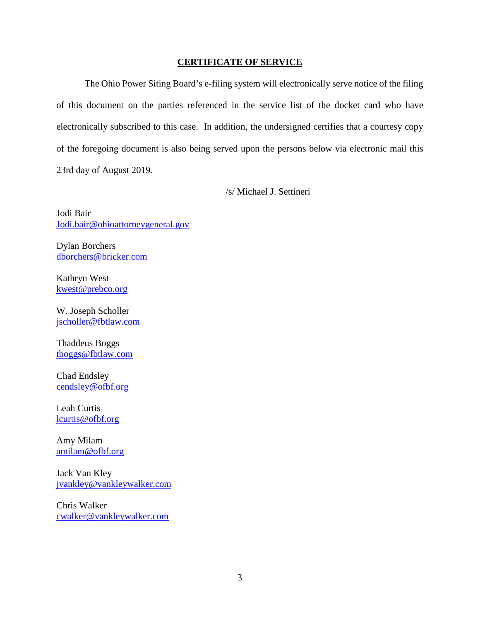#### **CERTIFICATE OF SERVICE**

The Ohio Power Siting Board's e-filing system will electronically serve notice of the filing of this document on the parties referenced in the service list of the docket card who have electronically subscribed to this case. In addition, the undersigned certifies that a courtesy copy of the foregoing document is also being served upon the persons below via electronic mail this 23rd day of August 2019.

/s/ Michael J. Settineri

Jodi Bair Jodi.bair@ohioattorneygeneral.gov

Dylan Borchers dborchers@bricker.com

Kathryn West kwest@prebco.org

W. Joseph Scholler jscholler@fbtlaw.com

Thaddeus Boggs tboggs@fbtlaw.com

Chad Endsley cendsley@ofbf.org

Leah Curtis lcurtis@ofbf.org

Amy Milam amilam@ofbf.org

Jack Van Kley jvankley@vankleywalker.com

Chris Walker cwalker@vankleywalker.com